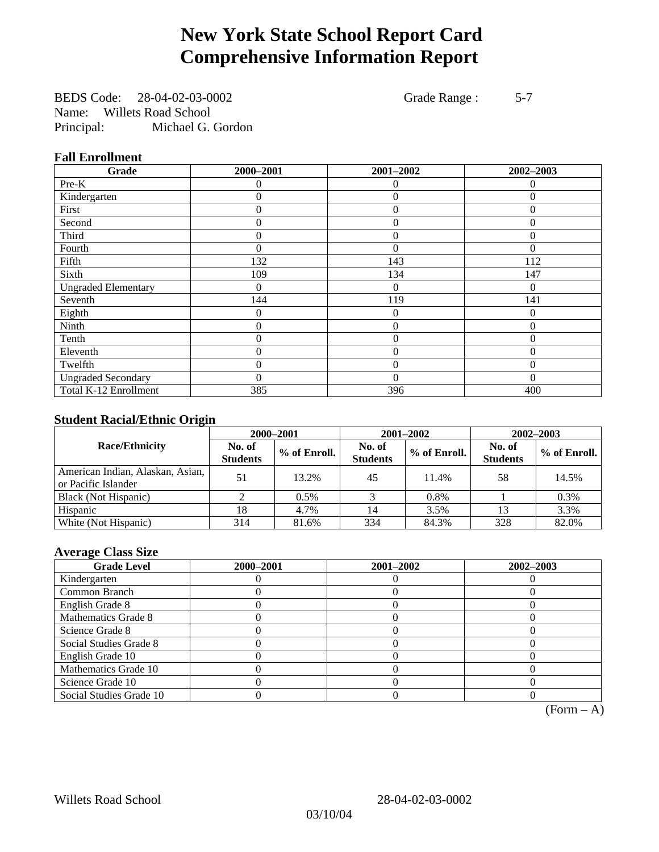# **New York State School Report Card Comprehensive Information Report**

BEDS Code: 28-04-02-03-0002 Grade Range : 5-7 Name: Willets Road School Principal: Michael G. Gordon

### **Fall Enrollment**

| Grade                      | 2000-2001 | 2001-2002      | 2002-2003 |
|----------------------------|-----------|----------------|-----------|
| $Pre-K$                    | 0         | $\theta$       | $\Omega$  |
| Kindergarten               | 0         | $\Omega$       | 0         |
| First                      | 0         | $\Omega$       | $\Omega$  |
| Second                     | 0         | $\Omega$       | $\Omega$  |
| Third                      | 0         | 0              | 0         |
| Fourth                     | 0         | $\Omega$       | $\Omega$  |
| Fifth                      | 132       | 143            | 112       |
| Sixth                      | 109       | 134            | 147       |
| <b>Ungraded Elementary</b> | 0         | $\theta$       | $\Omega$  |
| Seventh                    | 144       | 119            | 141       |
| Eighth                     | 0         | $\theta$       | 0         |
| Ninth                      | 0         | $\theta$       | $\Omega$  |
| Tenth                      | 0         | $\overline{0}$ | $\theta$  |
| Eleventh                   | 0         | $\overline{0}$ | $\theta$  |
| Twelfth                    | 0         | $\theta$       | $\Omega$  |
| <b>Ungraded Secondary</b>  | 0         | $\Omega$       | $\Omega$  |
| Total K-12 Enrollment      | 385       | 396            | 400       |

### **Student Racial/Ethnic Origin**

|                                                         | 2000-2001                 |              |                           | 2001-2002    | $2002 - 2003$             |                |
|---------------------------------------------------------|---------------------------|--------------|---------------------------|--------------|---------------------------|----------------|
| <b>Race/Ethnicity</b>                                   | No. of<br><b>Students</b> | % of Enroll. | No. of<br><b>Students</b> | % of Enroll. | No. of<br><b>Students</b> | $%$ of Enroll. |
| American Indian, Alaskan, Asian,<br>or Pacific Islander | 51                        | 13.2%        | 45                        | 11.4%        | 58                        | 14.5%          |
| Black (Not Hispanic)                                    |                           | $0.5\%$      |                           | 0.8%         |                           | 0.3%           |
| Hispanic                                                | 18                        | 4.7%         | 14                        | 3.5%         | 13                        | 3.3%           |
| White (Not Hispanic)                                    | 314                       | 81.6%        | 334                       | 84.3%        | 328                       | 82.0%          |

### **Average Class Size**

| <b>Grade Level</b>      | 2000-2001 | 2001-2002 | 2002-2003 |
|-------------------------|-----------|-----------|-----------|
| Kindergarten            |           |           |           |
| Common Branch           |           |           |           |
| English Grade 8         |           |           |           |
| Mathematics Grade 8     |           |           |           |
| Science Grade 8         |           |           |           |
| Social Studies Grade 8  |           |           |           |
| English Grade 10        |           |           |           |
| Mathematics Grade 10    |           |           |           |
| Science Grade 10        |           |           |           |
| Social Studies Grade 10 |           |           |           |

 $(Form - A)$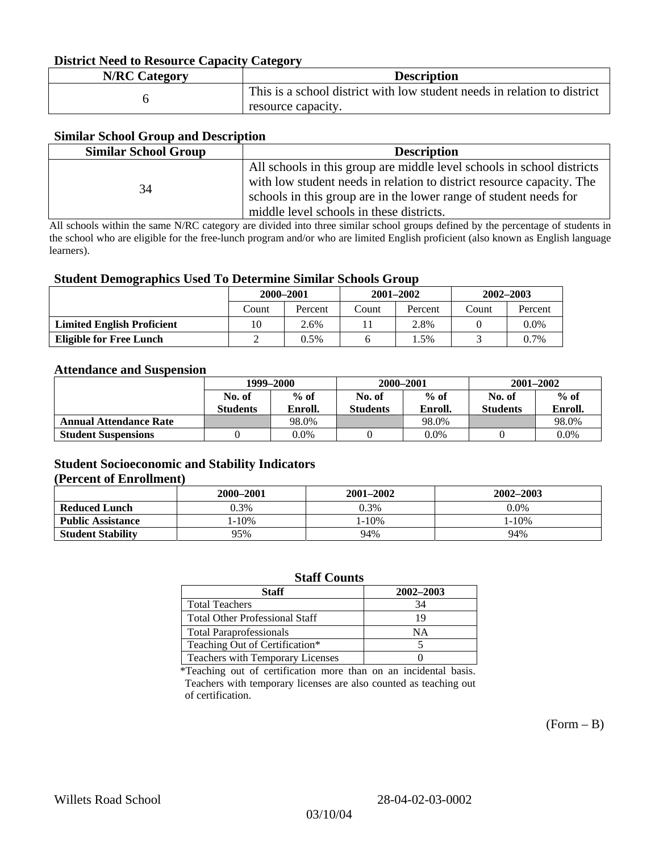### **District Need to Resource Capacity Category**

| <b>N/RC Category</b> | <b>Description</b>                                                                             |
|----------------------|------------------------------------------------------------------------------------------------|
|                      | This is a school district with low student needs in relation to district<br>resource capacity. |

### **Similar School Group and Description**

| <b>Similar School Group</b> | <b>Description</b>                                                                                                                              |
|-----------------------------|-------------------------------------------------------------------------------------------------------------------------------------------------|
| 34                          | All schools in this group are middle level schools in school districts<br>with low student needs in relation to district resource capacity. The |
|                             | schools in this group are in the lower range of student needs for<br>middle level schools in these districts.                                   |

All schools within the same N/RC category are divided into three similar school groups defined by the percentage of students in the school who are eligible for the free-lunch program and/or who are limited English proficient (also known as English language learners).

#### **Student Demographics Used To Determine Similar Schools Group**

| . .                               | 2000-2001 |         | $2001 - 2002$ |         | $2002 - 2003$ |         |
|-----------------------------------|-----------|---------|---------------|---------|---------------|---------|
|                                   | <br>Count | Percent | Count         | Percent | Count         | Percent |
| <b>Limited English Proficient</b> | 10        | 2.6%    |               | 2.8%    |               | $0.0\%$ |
| <b>Eligible for Free Lunch</b>    |           | 0.5%    |               | $.5\%$  |               | $0.7\%$ |

#### **Attendance and Suspension**

|                               | 1999–2000<br>$%$ of<br>No. of |         | 2000-2001        |         | $2001 - 2002$   |         |
|-------------------------------|-------------------------------|---------|------------------|---------|-----------------|---------|
|                               |                               |         | $%$ of<br>No. of |         | No. of          | $%$ of  |
|                               | <b>Students</b>               | Enroll. | <b>Students</b>  | Enroll. | <b>Students</b> | Enroll. |
| <b>Annual Attendance Rate</b> |                               | 98.0%   |                  | 98.0%   |                 | 98.0%   |
| <b>Student Suspensions</b>    |                               | 0.0%    |                  | $0.0\%$ |                 | 0.0%    |

### **Student Socioeconomic and Stability Indicators (Percent of Enrollment)**

|                          | 2000-2001 | 2001–2002 | 2002-2003 |
|--------------------------|-----------|-----------|-----------|
| <b>Reduced Lunch</b>     | 0.3%      | 0.3%      | $0.0\%$   |
| <b>Public Assistance</b> | $-10%$    | 1-10%     | $-10%$    |
| <b>Student Stability</b> | 95%       | 94%       | 94%       |

#### **Staff Counts**

| Staff                                 | 2002-2003 |
|---------------------------------------|-----------|
| <b>Total Teachers</b>                 | 34        |
| <b>Total Other Professional Staff</b> | 19        |
| <b>Total Paraprofessionals</b>        | NΑ        |
| Teaching Out of Certification*        |           |
| Teachers with Temporary Licenses      |           |

\*Teaching out of certification more than on an incidental basis. Teachers with temporary licenses are also counted as teaching out of certification.

 $(Form - B)$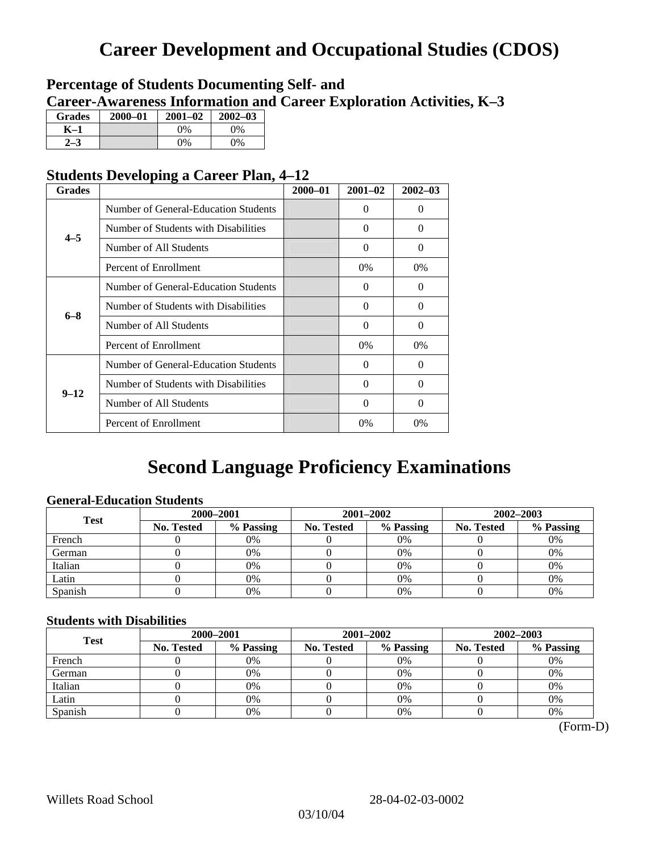# **Career Development and Occupational Studies (CDOS)**

### **Percentage of Students Documenting Self- and Career-Awareness Information and Career Exploration Activities, K–3**

| <b>Grades</b> | $2000 - 01$ | $2001 - 02$ | $2002 - 03$ |
|---------------|-------------|-------------|-------------|
| K-1           |             | 0%          | $0\%$       |
| 72            |             | $0\%$       | $0\%$       |

### **Students Developing a Career Plan, 4–12**

| <b>Grades</b> |                                      | $2000 - 01$ | $2001 - 02$ | $2002 - 03$ |
|---------------|--------------------------------------|-------------|-------------|-------------|
|               | Number of General-Education Students |             | $\Omega$    | 0           |
| $4 - 5$       | Number of Students with Disabilities |             | $\Omega$    | 0           |
|               | Number of All Students               |             | 0           | $\Omega$    |
|               | Percent of Enrollment                |             | $0\%$       | $0\%$       |
|               | Number of General-Education Students |             | $\Omega$    | 0           |
| $6 - 8$       | Number of Students with Disabilities |             | $\Omega$    | $\Omega$    |
|               | Number of All Students               |             | $\Omega$    | $\Omega$    |
|               | Percent of Enrollment                |             | $0\%$       | $0\%$       |
|               | Number of General-Education Students |             | $\Omega$    | 0           |
| $9 - 12$      | Number of Students with Disabilities |             | $\Omega$    | $\Omega$    |
|               | Number of All Students               |             | 0           | 0           |
|               | Percent of Enrollment                |             | 0%          | $0\%$       |

# **Second Language Proficiency Examinations**

### **General-Education Students**

| <b>Test</b> | 2000-2001         |           |            | 2001-2002 | $2002 - 2003$ |           |
|-------------|-------------------|-----------|------------|-----------|---------------|-----------|
|             | <b>No. Tested</b> | % Passing | No. Tested | % Passing | No. Tested    | % Passing |
| French      |                   | 0%        |            | 0%        |               | 0%        |
| German      |                   | 0%        |            | $0\%$     |               | 0%        |
| Italian     |                   | 0%        |            | 0%        |               | 0%        |
| Latin       |                   | 0%        |            | 0%        |               | 0%        |
| Spanish     |                   | 0%        |            | 0%        |               | 0%        |

### **Students with Disabilities**

| <b>Test</b> | 2000-2001         |           |            | 2001-2002 | 2002-2003  |           |  |
|-------------|-------------------|-----------|------------|-----------|------------|-----------|--|
|             | <b>No. Tested</b> | % Passing | No. Tested | % Passing | No. Tested | % Passing |  |
| French      |                   | 0%        |            | 0%        |            | 0%        |  |
| German      |                   | 0%        |            | 0%        |            | 0%        |  |
| Italian     |                   | 0%        |            | $0\%$     |            | 0%        |  |
| Latin       |                   | 0%        |            | 0%        |            | 0%        |  |
| Spanish     |                   | 0%        |            | 0%        |            | 0%        |  |

 <sup>(</sup>Form-D)